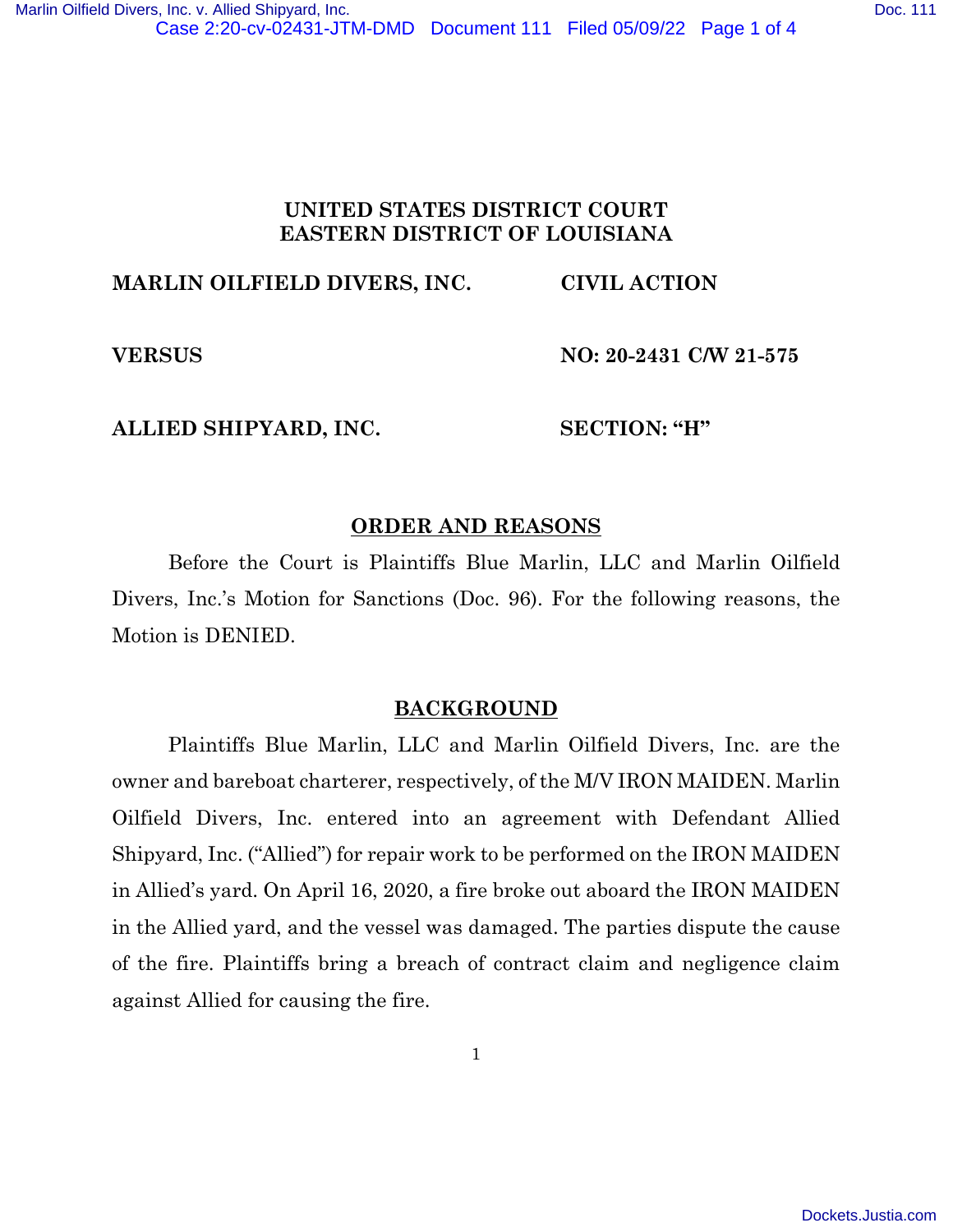## **UNITED STATES DISTRICT COURT EASTERN DISTRICT OF LOUISIANA**

# **MARLIN OILFIELD DIVERS, INC. CIVIL ACTION**

**VERSUS NO: 20-2431 C/W 21-575** 

#### **ALLIED SHIPYARD, INC. SECTION: "H"**

### **ORDER AND REASONS**

Before the Court is Plaintiffs Blue Marlin, LLC and Marlin Oilfield Divers, Inc.'s Motion for Sanctions (Doc. 96). For the following reasons, the Motion is DENIED.

#### **BACKGROUND**

Plaintiffs Blue Marlin, LLC and Marlin Oilfield Divers, Inc. are the owner and bareboat charterer, respectively, of the M/V IRON MAIDEN. Marlin Oilfield Divers, Inc. entered into an agreement with Defendant Allied Shipyard, Inc. ("Allied") for repair work to be performed on the IRON MAIDEN in Allied's yard. On April 16, 2020, a fire broke out aboard the IRON MAIDEN in the Allied yard, and the vessel was damaged. The parties dispute the cause of the fire. Plaintiffs bring a breach of contract claim and negligence claim against Allied for causing the fire.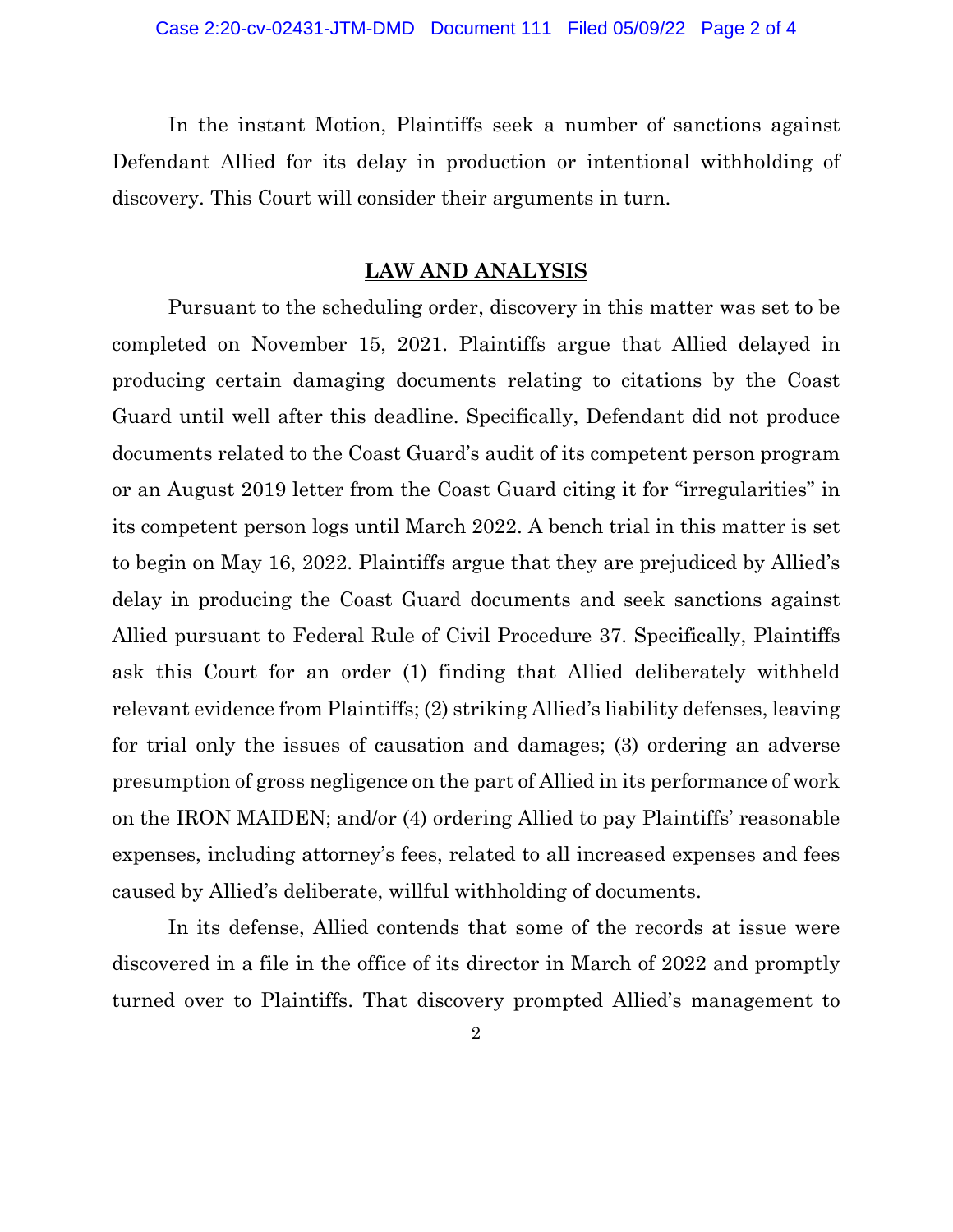In the instant Motion, Plaintiffs seek a number of sanctions against Defendant Allied for its delay in production or intentional withholding of discovery. This Court will consider their arguments in turn.

#### **LAW AND ANALYSIS**

Pursuant to the scheduling order, discovery in this matter was set to be completed on November 15, 2021. Plaintiffs argue that Allied delayed in producing certain damaging documents relating to citations by the Coast Guard until well after this deadline. Specifically, Defendant did not produce documents related to the Coast Guard's audit of its competent person program or an August 2019 letter from the Coast Guard citing it for "irregularities" in its competent person logs until March 2022. A bench trial in this matter is set to begin on May 16, 2022. Plaintiffs argue that they are prejudiced by Allied's delay in producing the Coast Guard documents and seek sanctions against Allied pursuant to Federal Rule of Civil Procedure 37. Specifically, Plaintiffs ask this Court for an order (1) finding that Allied deliberately withheld relevant evidence from Plaintiffs; (2) striking Allied's liability defenses, leaving for trial only the issues of causation and damages; (3) ordering an adverse presumption of gross negligence on the part of Allied in its performance of work on the IRON MAIDEN; and/or (4) ordering Allied to pay Plaintiffs' reasonable expenses, including attorney's fees, related to all increased expenses and fees caused by Allied's deliberate, willful withholding of documents.

In its defense, Allied contends that some of the records at issue were discovered in a file in the office of its director in March of 2022 and promptly turned over to Plaintiffs. That discovery prompted Allied's management to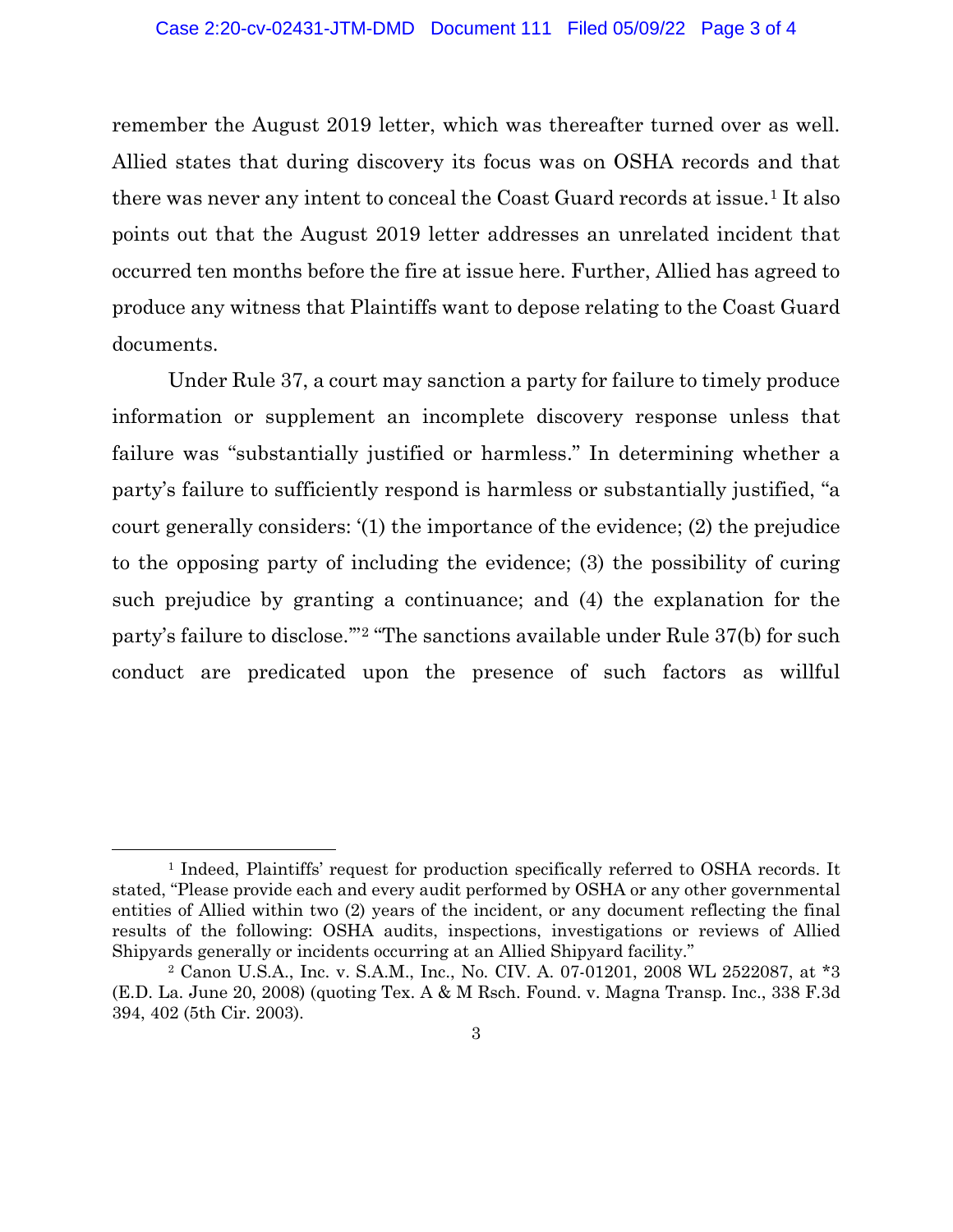remember the August 2019 letter, which was thereafter turned over as well. Allied states that during discovery its focus was on OSHA records and that there was never any intent to conceal the Coast Guard records at issue.<sup>1</sup> It also points out that the August 2019 letter addresses an unrelated incident that occurred ten months before the fire at issue here. Further, Allied has agreed to produce any witness that Plaintiffs want to depose relating to the Coast Guard documents.

Under Rule 37, a court may sanction a party for failure to timely produce information or supplement an incomplete discovery response unless that failure was "substantially justified or harmless." In determining whether a party's failure to sufficiently respond is harmless or substantially justified, "a court generally considers: '(1) the importance of the evidence; (2) the prejudice to the opposing party of including the evidence; (3) the possibility of curing such prejudice by granting a continuance; and (4) the explanation for the party's failure to disclose.'" <sup>2</sup> "The sanctions available under Rule 37(b) for such conduct are predicated upon the presence of such factors as willful

<sup>&</sup>lt;sup>1</sup> Indeed, Plaintiffs' request for production specifically referred to OSHA records. It stated, "Please provide each and every audit performed by OSHA or any other governmental entities of Allied within two (2) years of the incident, or any document reflecting the final results of the following: OSHA audits, inspections, investigations or reviews of Allied Shipyards generally or incidents occurring at an Allied Shipyard facility."

<sup>2</sup> Canon U.S.A., Inc. v. S.A.M., Inc., No. CIV. A. 07-01201, 2008 WL 2522087, at \*3 (E.D. La. June 20, 2008) (quoting Tex. A & M Rsch. Found. v. Magna Transp. Inc., 338 F.3d 394, 402 (5th Cir. 2003).